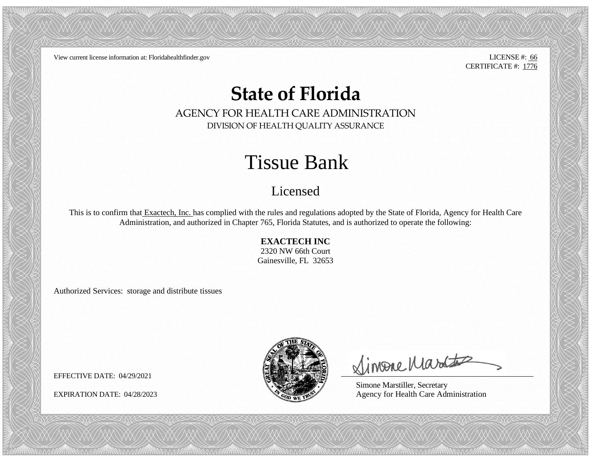View current license information at: Floridahealthfinder.gov LICENSE #: 66

CERTIFICATE #: 1776

## **State of Florida**

AGENCY FOR HEALTH CARE ADMINISTRATION DIVISION OF HEALTH QUALITY ASSURANCE

## Tissue Bank

## Licensed

This is to confirm that Exactech, Inc. has complied with the rules and regulations adopted by the State of Florida, Agency for Health Care Administration, and authorized in Chapter 765, Florida Statutes, and is authorized to operate the following:

## **EXACTECH INC**

2320 NW 66th Court Gainesville, FL 32653

Authorized Services: storage and distribute tissues



Simone Martes

Simone Marstiller, Secretary EXPIRATION DATE: 04/28/2023  $\frac{1}{2}$  Agency for Health Care Administration

EFFECTIVE DATE: 04/29/2021